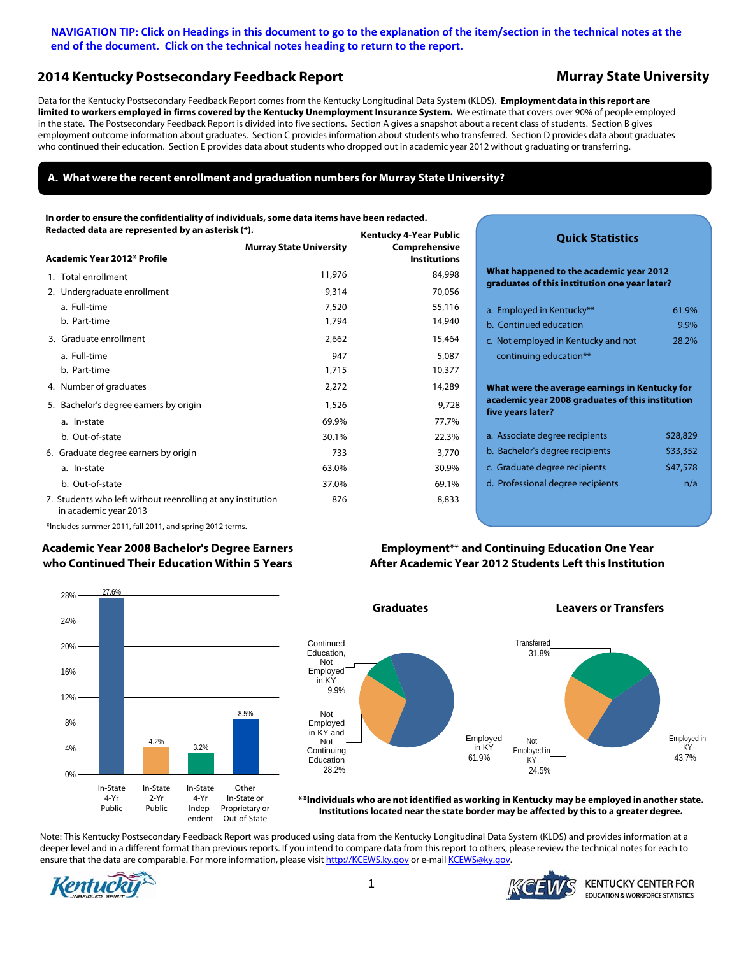### <span id="page-0-0"></span>**NAVIGATION TIP: Click on Headings in this document to go to the explanation of the item/section in the technical notes at the end of the document. Click on the technical notes heading to return to the report.**

## **[2014 Kentucky Postsecondary Feedback Report](#page-6-0) Murray State University**

Data for the Kentucky Postsecondary Feedback Report comes from the Kentucky Longitudinal Data System (KLDS). **Employment data in this report are limited to workers employed in firms covered by the Kentucky Unemployment Insurance System.** We estimate that covers over 90% of people employed in the state. The Postsecondary Feedback Report is divided into five sections. Section A gives a snapshot about a recent class of students. Section B gives employment outcome information about graduates. Section C provides information about students who transferred. Section D provides data about graduates who continued their education. Section E provides data about students who dropped out in academic year 2012 without graduating or transferring.

### **[A. What were the recent enrollment and graduation numbers for Murray State University?](#page-6-0)**

**[Kentucky 4-Year Public](#page-6-0)  In order to ensure the confidentiality of individuals, some data items have been redacted. Redacted data are represented by an asterisk (\*).** 

|                                                                                      | <b>Murray State University</b> | Comprehensive       |
|--------------------------------------------------------------------------------------|--------------------------------|---------------------|
| Academic Year 2012* Profile                                                          |                                | <b>Institutions</b> |
| 1. Total enrollment                                                                  | 11,976                         | 84,998              |
| 2. Undergraduate enrollment                                                          | 9,314                          | 70,056              |
| a. Full-time                                                                         | 7,520                          | 55,116              |
| b. Part-time                                                                         | 1,794                          | 14,940              |
| 3. Graduate enrollment                                                               | 2,662                          | 15,464              |
| a. Full-time                                                                         | 947                            | 5,087               |
| b. Part-time                                                                         | 1,715                          | 10,377              |
| 4. Number of graduates                                                               | 2,272                          | 14,289              |
| 5. Bachelor's degree earners by origin                                               | 1,526                          | 9,728               |
| a. In-state                                                                          | 69.9%                          | 77.7%               |
| b. Out-of-state                                                                      | 30.1%                          | 22.3%               |
| 6. Graduate degree earners by origin                                                 | 733                            | 3,770               |
| a. In-state                                                                          | 63.0%                          | 30.9%               |
| b. Out-of-state                                                                      | 37.0%                          | 69.1%               |
| 7. Students who left without reenrolling at any institution<br>in academic year 2013 | 876                            | 8,833               |

### **Quick Statistics**

**What happened to the academic year 2012 graduates of this institution one year later?**

| a. Employed in Kentucky**                        | 61.9%    |  |  |  |  |
|--------------------------------------------------|----------|--|--|--|--|
| b. Continued education                           | 9.9%     |  |  |  |  |
| c. Not employed in Kentucky and not              | 28.2%    |  |  |  |  |
| continuing education**                           |          |  |  |  |  |
|                                                  |          |  |  |  |  |
| What were the average earnings in Kentucky for   |          |  |  |  |  |
|                                                  |          |  |  |  |  |
| academic year 2008 graduates of this institution |          |  |  |  |  |
| five years later?                                |          |  |  |  |  |
| a. Associate degree recipients                   | \$28,829 |  |  |  |  |
| b. Bachelor's degree recipients                  | \$33,352 |  |  |  |  |
| c. Graduate degree recipients                    | \$47,578 |  |  |  |  |

\*Includes summer 2011, fall 2011, and spring 2012 terms.

#### **[Academic Year 2008 Bachelor's Degree Earners](#page-8-0)  who Continued Their Education Within 5 Years**



**Graduates Leavers or Transfers**





**\*\*Individuals who are not identified as working in Kentucky may be employed in another state. Institutions located near the state border may be affected by this to a greater degree.**

Note: This Kentucky Postsecondary Feedback Report was produced using data from the Kentucky Longitudinal Data System (KLDS) and provides information at a deeper level and in a different format than previous reports. If you intend to compare data from this report to others, please review the technical notes for each to ensure that the data are comparable. For more information, please visit http://KCEWS.ky.gov or e-mail KCEWS@ky.gov.





KENTUCKY CENTER FOR **EDUCATION & WORKFORCE STATISTICS**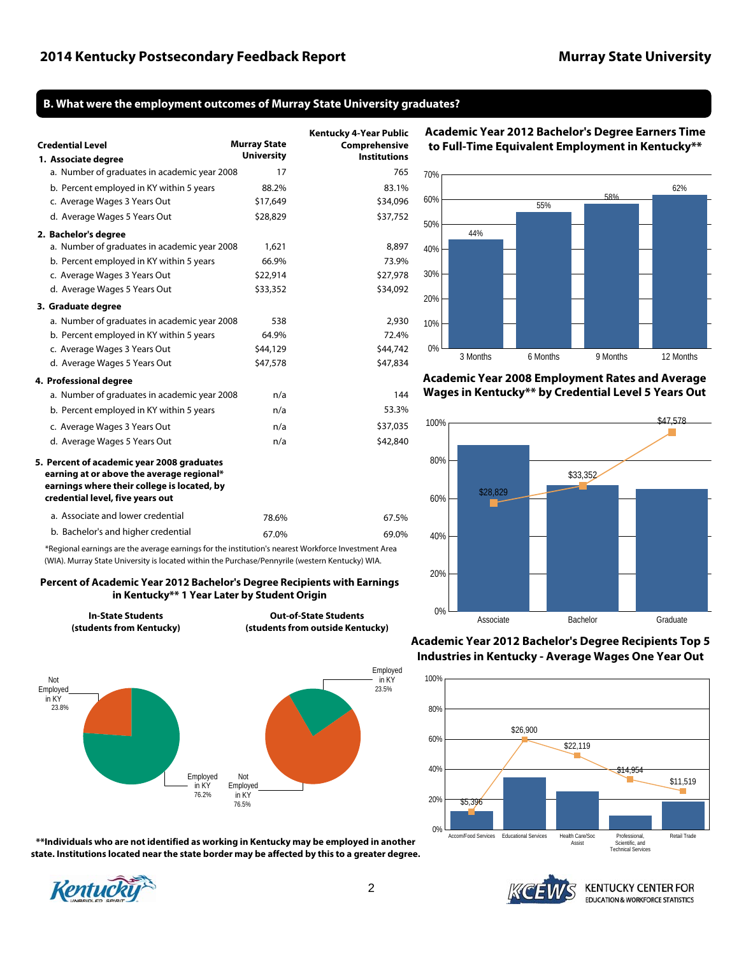### <span id="page-1-0"></span>**[B. What were the employment outcomes of Murray State University](#page-9-0) graduates?**

| <b>Credential Level</b>                                                                                                                                                    | <b>Murray State</b><br><b>University</b> | <b>Kentucky 4-Year Public</b><br>Comprehensive<br><b>Institutions</b> |
|----------------------------------------------------------------------------------------------------------------------------------------------------------------------------|------------------------------------------|-----------------------------------------------------------------------|
| 1. Associate degree<br>a. Number of graduates in academic year 2008                                                                                                        | 17                                       | 765                                                                   |
| b. Percent employed in KY within 5 years                                                                                                                                   | 88.2%                                    | 83.1%                                                                 |
| c. Average Wages 3 Years Out                                                                                                                                               | \$17,649                                 | \$34,096                                                              |
| d. Average Wages 5 Years Out                                                                                                                                               | \$28,829                                 | \$37,752                                                              |
| 2. Bachelor's degree                                                                                                                                                       |                                          |                                                                       |
| a. Number of graduates in academic year 2008                                                                                                                               | 1,621                                    | 8,897                                                                 |
| b. Percent employed in KY within 5 years                                                                                                                                   | 66.9%                                    | 73.9%                                                                 |
| c. Average Wages 3 Years Out                                                                                                                                               | \$22,914                                 | \$27,978                                                              |
| d. Average Wages 5 Years Out                                                                                                                                               | \$33,352                                 | \$34,092                                                              |
| 3. Graduate degree                                                                                                                                                         |                                          |                                                                       |
| a. Number of graduates in academic year 2008                                                                                                                               | 538                                      | 2,930                                                                 |
| b. Percent employed in KY within 5 years                                                                                                                                   | 64.9%                                    | 72.4%                                                                 |
| c. Average Wages 3 Years Out                                                                                                                                               | \$44,129                                 | \$44,742                                                              |
| d. Average Wages 5 Years Out                                                                                                                                               | \$47,578                                 | \$47,834                                                              |
| 4. Professional degree                                                                                                                                                     |                                          |                                                                       |
| a. Number of graduates in academic year 2008                                                                                                                               | n/a                                      | 144                                                                   |
| b. Percent employed in KY within 5 years                                                                                                                                   | n/a                                      | 53.3%                                                                 |
| c. Average Wages 3 Years Out                                                                                                                                               | n/a                                      | \$37,035                                                              |
| d. Average Wages 5 Years Out                                                                                                                                               | n/a                                      | \$42,840                                                              |
| 5. Percent of academic year 2008 graduates<br>earning at or above the average regional*<br>earnings where their college is located, by<br>credential level, five years out |                                          |                                                                       |
| a. Associate and lower credential                                                                                                                                          | 78.6%                                    | 67.5%                                                                 |
| b. Bachelor's and higher credential                                                                                                                                        | 67.0%                                    | 69.0%                                                                 |

\*Regional earnings are the average earnings for the institution's nearest Workforce Investment Area (WIA). Murray State University is located within the Purchase/Pennyrile (western Kentucky) WIA.

#### **Percent of Academic Year 2012 [Bachelor's Degree Recipients with Earnings](#page-9-0)  in Kentucky\*\* 1 Year Later by Student Origin**

**In-State Students (students from Kentucky)**

**Out-of-State Students (students from outside Kentucky)**



**\*\*Individuals who are not identified as working in Kentucky may be employed in another state. Institutions located near the state border may be affected by this to a greater degree.**







**Academic [Year 2008 Employment Rates and Average](#page-10-0)  Wages in Kentucky\*\* by Credential Level 5 Years Out** 



**[Academic Year 2012 Bachelor's Degree Recipients Top 5](#page-10-0)  Industries in Kentucky - Average Wages One Year Out**





**[Academic Year 2012 Bachelor's Degree Earners Time](#page-10-0)  to Full-Time Equivalent Employment in Kentucky\*\***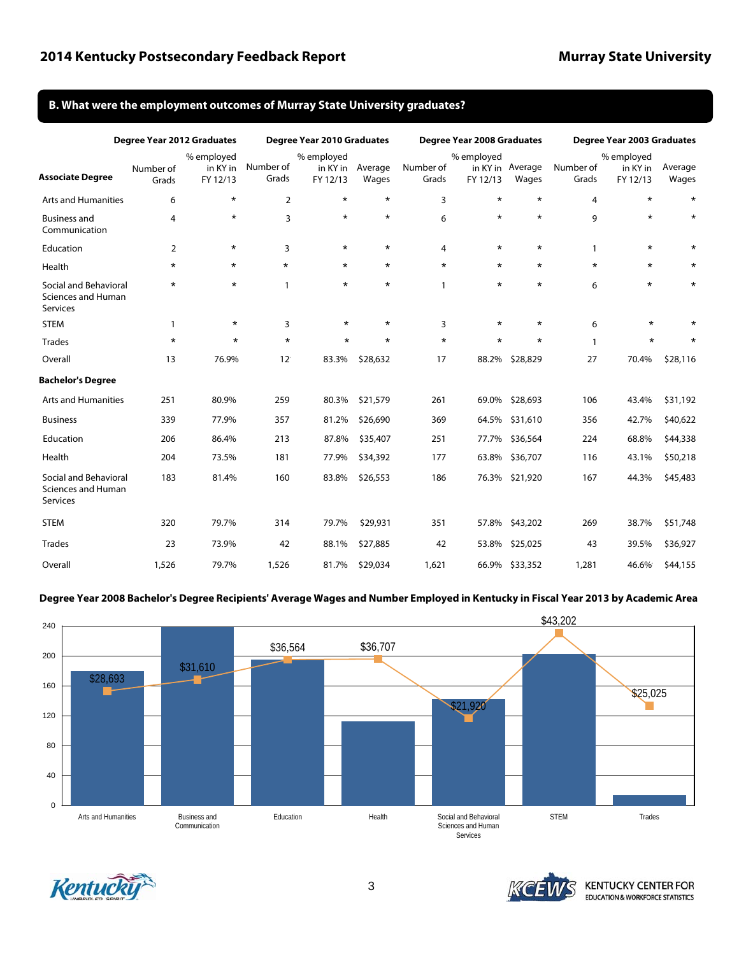#### <span id="page-2-0"></span>**[B. What were the employment outcomes of Murray State University](#page-10-0) graduates?**

|                                                                | Degree Year 2012 Graduates |                                    |                    | Degree Year 2010 Graduates         |                  |                    | <b>Degree Year 2008 Graduates</b> |                           |                    | Degree Year 2003 Graduates         |                  |  |
|----------------------------------------------------------------|----------------------------|------------------------------------|--------------------|------------------------------------|------------------|--------------------|-----------------------------------|---------------------------|--------------------|------------------------------------|------------------|--|
| <b>Associate Degree</b>                                        | Number of<br>Grads         | % employed<br>in KY in<br>FY 12/13 | Number of<br>Grads | % employed<br>in KY in<br>FY 12/13 | Average<br>Wages | Number of<br>Grads | % employed<br>FY 12/13            | in KY in Average<br>Wages | Number of<br>Grads | % employed<br>in KY in<br>FY 12/13 | Average<br>Wages |  |
| <b>Arts and Humanities</b>                                     | 6                          | $\star$                            | $\overline{2}$     | $\star$                            | $\star$          | 3                  | $\star$                           | $\star$                   | 4                  | $\star$                            | $\star$          |  |
| <b>Business and</b><br>Communication                           | $\overline{4}$             | $\star$                            | 3                  | $\star$                            | $\star$          | 6                  | $\star$                           | $\star$                   | 9                  | $\star$                            | $\star$          |  |
| Education                                                      | 2                          | $^\star$                           | 3                  | $^\star$                           | $\star$          | $\overline{4}$     | $\star$                           | $\star$                   | 1                  | $\star$                            |                  |  |
| Health                                                         | $\star$                    | $\star$                            | $\star$            | $\star$                            | $\star$          | $\star$            | $\star$                           | $\star$                   | $\star$            | $\star$                            | *                |  |
| Social and Behavioral<br>Sciences and Human<br>Services        | $\star$                    | $\star$                            | 1                  | $\star$                            | $\star$          | 1                  | $\star$                           | $\star$                   | 6                  | $\star$                            | $\star$          |  |
| <b>STEM</b>                                                    | $\mathbf{1}$               | $\star$                            | 3                  | $\star$                            | $\star$          | 3                  | $\star$                           | $\star$                   | 6                  | $\star$                            | $\star$          |  |
| <b>Trades</b>                                                  | $\star$                    | $\star$                            | $\star$            | $\star$                            | $\star$          | $\star$            | $\star$                           | $\star$                   | $\mathbf{1}$       | $\star$                            | $\star$          |  |
| Overall                                                        | 13                         | 76.9%                              | $12^{\circ}$       | 83.3%                              | \$28,632         | 17                 | 88.2%                             | \$28,829                  | 27                 | 70.4%                              | \$28,116         |  |
| <b>Bachelor's Degree</b>                                       |                            |                                    |                    |                                    |                  |                    |                                   |                           |                    |                                    |                  |  |
| <b>Arts and Humanities</b>                                     | 251                        | 80.9%                              | 259                | 80.3%                              | \$21,579         | 261                | 69.0%                             | \$28,693                  | 106                | 43.4%                              | \$31,192         |  |
| <b>Business</b>                                                | 339                        | 77.9%                              | 357                | 81.2%                              | \$26,690         | 369                |                                   | 64.5% \$31,610            | 356                | 42.7%                              | \$40,622         |  |
| Education                                                      | 206                        | 86.4%                              | 213                | 87.8%                              | \$35,407         | 251                | 77.7%                             | \$36,564                  | 224                | 68.8%                              | \$44,338         |  |
| Health                                                         | 204                        | 73.5%                              | 181                | 77.9%                              | \$34,392         | 177                | 63.8%                             | \$36,707                  | 116                | 43.1%                              | \$50,218         |  |
| Social and Behavioral<br><b>Sciences and Human</b><br>Services | 183                        | 81.4%                              | 160                | 83.8%                              | \$26,553         | 186                |                                   | 76.3% \$21,920            | 167                | 44.3%                              | \$45,483         |  |
| <b>STEM</b>                                                    | 320                        | 79.7%                              | 314                | 79.7%                              | \$29,931         | 351                | 57.8%                             | \$43,202                  | 269                | 38.7%                              | \$51,748         |  |
| <b>Trades</b>                                                  | 23                         | 73.9%                              | 42                 | 88.1%                              | \$27,885         | 42                 | 53.8%                             | \$25,025                  | 43                 | 39.5%                              | \$36,927         |  |
| Overall                                                        | 1,526                      | 79.7%                              | 1,526              | 81.7%                              | \$29,034         | 1,621              |                                   | 66.9% \$33,352            | 1,281              | 46.6%                              | \$44,155         |  |

#### **Degree Year 2008 [Bachelor's Degree Recipients' Average Wages and Number Employed](#page-11-0) in Kentucky in Fiscal Year 2013 by Academic Area**





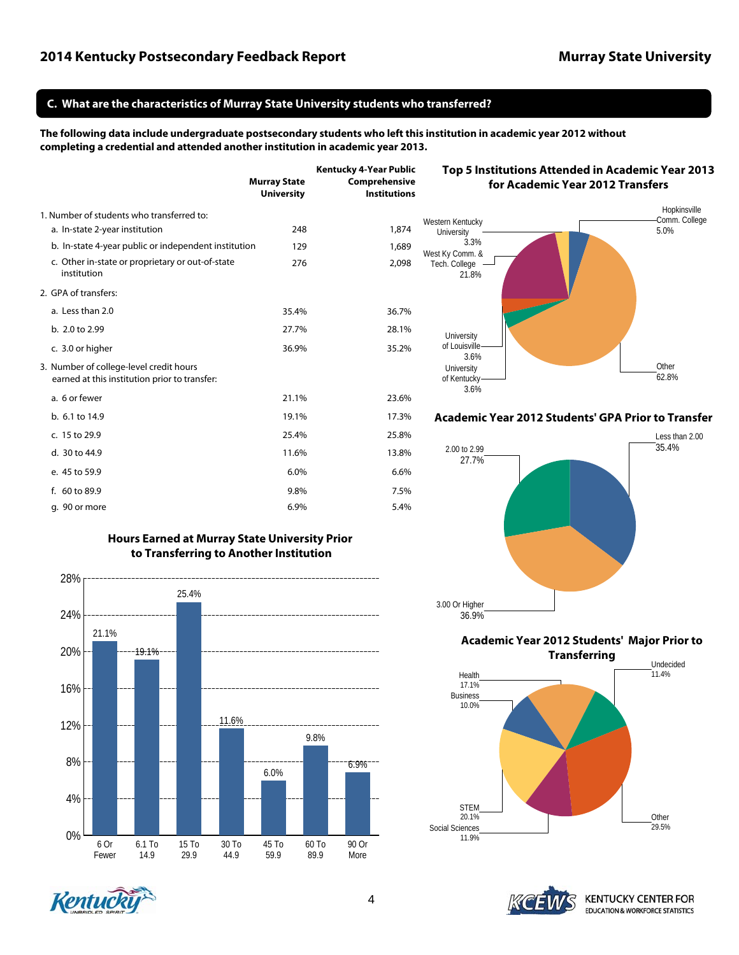### <span id="page-3-0"></span>**[C. What are the characteristics of Murray State University students who transferred?](#page-11-0)**

**The following data include undergraduate postsecondary students who left this institution in academic year 2012 without completing a credential and attended another institution in academic year 2013.**

|                                                                                          | <b>Murray State</b><br><b>University</b> | <b>Kentucky 4-Year Public</b><br>Comprehensive<br><b>Institutions</b> |
|------------------------------------------------------------------------------------------|------------------------------------------|-----------------------------------------------------------------------|
| 1. Number of students who transferred to:                                                |                                          |                                                                       |
| a. In-state 2-year institution                                                           | 248                                      | 1,874                                                                 |
| b. In-state 4-year public or independent institution                                     | 129                                      | 1,689                                                                 |
| c. Other in-state or proprietary or out-of-state<br>institution                          | 276                                      | 2,098                                                                 |
| 2. GPA of transfers:                                                                     |                                          |                                                                       |
| a. Less than 2.0                                                                         | 35.4%                                    | 36.7%                                                                 |
| b. 2.0 to 2.99                                                                           | 27.7%                                    | 28.1%                                                                 |
| c. 3.0 or higher                                                                         | 36.9%                                    | 35.2%                                                                 |
| 3. Number of college-level credit hours<br>earned at this institution prior to transfer: |                                          |                                                                       |
| a. 6 or fewer                                                                            | 21.1%                                    | 23.6%                                                                 |
| b. 6.1 to 14.9                                                                           | 19.1%                                    | 17.3%                                                                 |
| c. 15 to 29.9                                                                            | 25.4%                                    | 25.8%                                                                 |
| d. 30 to 44.9                                                                            | 11.6%                                    | 13.8%                                                                 |
| e. 45 to 59.9                                                                            | 6.0%                                     | 6.6%                                                                  |
| f. 60 to 89.9                                                                            | 9.8%                                     | 7.5%                                                                  |
| q. 90 or more                                                                            | 6.9%                                     | 5.4%                                                                  |

### **[Hours Earned at Murray State University Prior](#page-12-0) to Transferring to Another Institution**



# Hopkinsville **[Top 5 Institutions Attended in Academic Year 2013](#page-12-0)  for Academic Year 2012 Transfers**



**[Academic Year 2012 Students' GPA Prior to Transfer](#page-12-0)**



**[Academic Year 2012 Students' Major Prior to](#page-12-0)** 





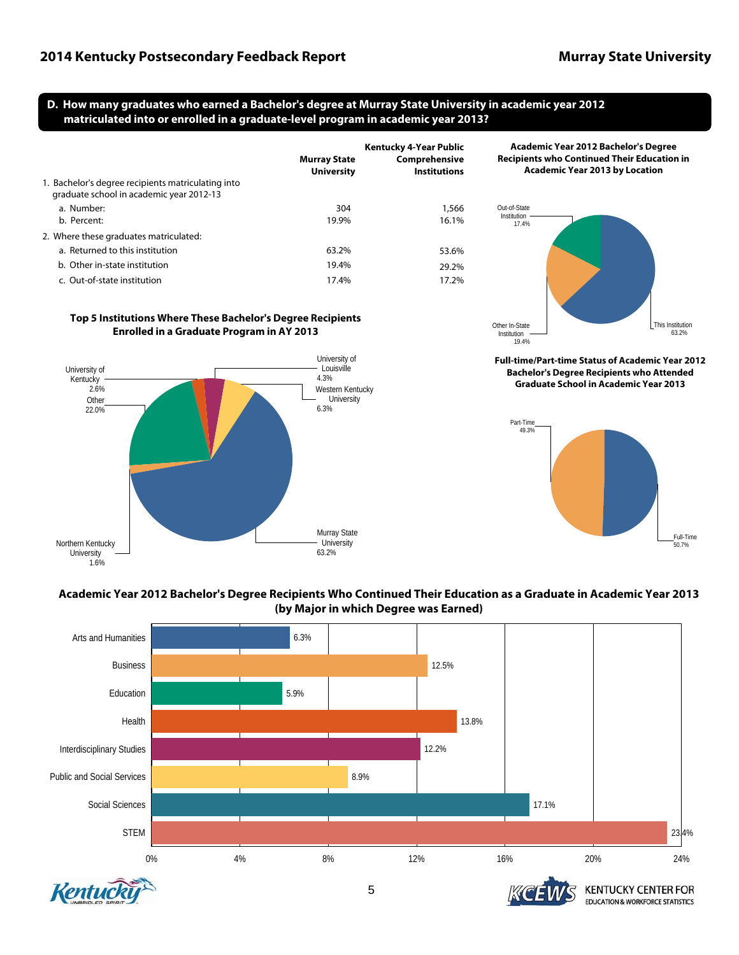### <span id="page-4-0"></span>**[D. How many graduates who earned a Bachelor's degree at Murray State University in academic year 2012](#page-13-0)  matriculated into or enrolled in a graduate-level program in academic year 2013?**

|                                                                                                | <b>Murray State</b><br><b>University</b> | Kentucky 4-Year Public<br>Comprehensive<br><b>Institutions</b> |
|------------------------------------------------------------------------------------------------|------------------------------------------|----------------------------------------------------------------|
| 1. Bachelor's degree recipients matriculating into<br>graduate school in academic year 2012-13 |                                          |                                                                |
| a. Number:                                                                                     | 304                                      | 1,566                                                          |
| b. Percent:                                                                                    | 19.9%                                    | 16.1%                                                          |
| 2. Where these graduates matriculated:                                                         |                                          |                                                                |
| a. Returned to this institution                                                                | 63.2%                                    | 53.6%                                                          |
| b. Other in-state institution                                                                  | 19.4%                                    | 29.2%                                                          |
| c. Out-of-state institution                                                                    | 17.4%                                    | 17.2%                                                          |

### **[Top 5 Institutions Where These Bachelor's Degree Recipients](#page-13-0)  Enrolled in a Graduate Program in AY 2013**







**[Full-time/Part-time Status of Academic Year 2012](#page-14-0) Bachelor's Degree Recipients who Attended Graduate School in Academic Year 2013**



## **[Academic Year 2012 Bachelor's Degree Recipients Who Continued Their Education as a Graduate in Academic Year 2013](#page-13-0) (by Major in which Degree was Earned)**



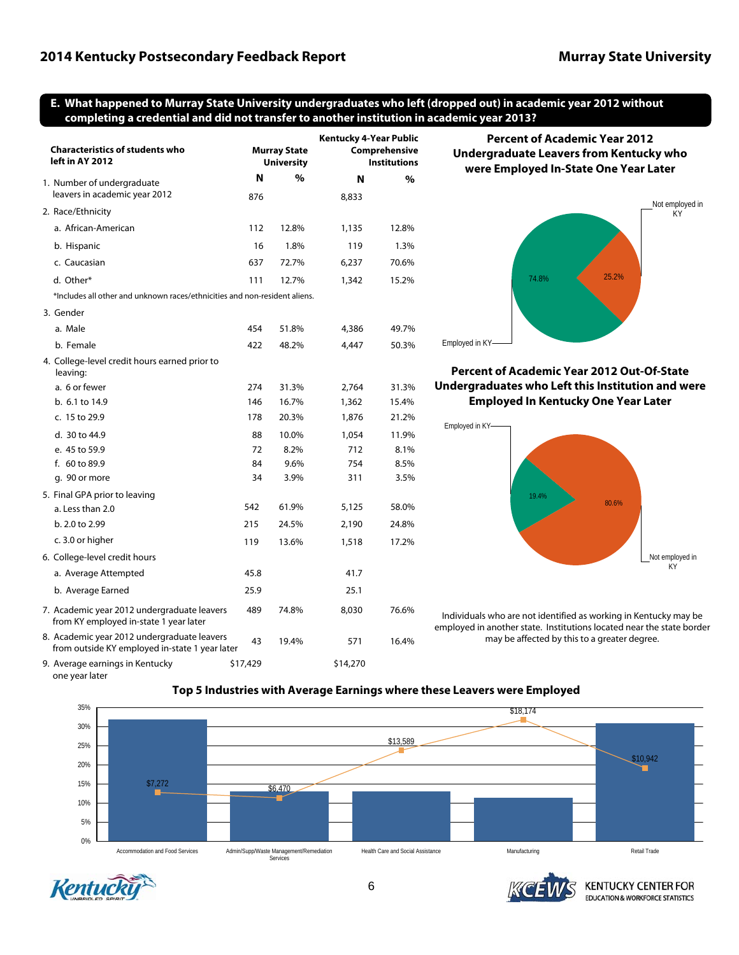### <span id="page-5-0"></span>**[E. What happened to Murray State University undergraduates who left \(dropped out\) in academic year 2012 without](#page-15-0)  completing a credential and did not transfer to another institution in academic year 2013?**

| <b>Characteristics of students who</b><br>left in AY 2012                                     |          | <b>Murray State</b><br><b>University</b> |          | <b>Kentucky 4-Year Public</b><br>Comprehensive<br><b>Institutions</b> | <b>Percent of Academic Year 2012</b><br><b>Undergraduate Leavers from Kentucky who</b><br>were Employed In-State One Year Later   |  |  |
|-----------------------------------------------------------------------------------------------|----------|------------------------------------------|----------|-----------------------------------------------------------------------|-----------------------------------------------------------------------------------------------------------------------------------|--|--|
| 1. Number of undergraduate<br>leavers in academic year 2012                                   | N        | $\%$                                     | N        | $\%$                                                                  |                                                                                                                                   |  |  |
| 2. Race/Ethnicity                                                                             | 876      |                                          | 8,833    |                                                                       | Not employ                                                                                                                        |  |  |
|                                                                                               |          |                                          |          |                                                                       | KY <sup>-</sup>                                                                                                                   |  |  |
| a. African-American                                                                           | 112      | 12.8%                                    | 1,135    | 12.8%                                                                 |                                                                                                                                   |  |  |
| b. Hispanic                                                                                   | 16       | 1.8%                                     | 119      | 1.3%                                                                  |                                                                                                                                   |  |  |
| c. Caucasian                                                                                  | 637      | 72.7%                                    | 6,237    | 70.6%                                                                 |                                                                                                                                   |  |  |
| d. Other*                                                                                     | 111      | 12.7%                                    | 1,342    | 15.2%                                                                 | 25.2%<br>74.8%                                                                                                                    |  |  |
| *Includes all other and unknown races/ethnicities and non-resident aliens.                    |          |                                          |          |                                                                       |                                                                                                                                   |  |  |
| 3. Gender                                                                                     |          |                                          |          |                                                                       |                                                                                                                                   |  |  |
| a. Male                                                                                       | 454      | 51.8%                                    | 4,386    | 49.7%                                                                 |                                                                                                                                   |  |  |
| b. Female                                                                                     | 422      | 48.2%                                    | 4,447    | 50.3%                                                                 | Employed in KY-                                                                                                                   |  |  |
| 4. College-level credit hours earned prior to<br>leaving:                                     |          |                                          |          |                                                                       | <b>Percent of Academic Year 2012 Out-Of-State</b>                                                                                 |  |  |
| a. 6 or fewer                                                                                 | 274      | 31.3%                                    | 2,764    | 31.3%                                                                 | Undergraduates who Left this Institution and w                                                                                    |  |  |
| b. 6.1 to 14.9                                                                                | 146      | 16.7%                                    | 1,362    | 15.4%                                                                 | <b>Employed In Kentucky One Year Later</b>                                                                                        |  |  |
| c. 15 to 29.9                                                                                 | 178      | 20.3%                                    | 1,876    | 21.2%                                                                 |                                                                                                                                   |  |  |
| d. 30 to 44.9                                                                                 | 88       | 10.0%                                    | 1,054    | 11.9%                                                                 | Employed in KY-                                                                                                                   |  |  |
| e. 45 to 59.9                                                                                 | 72       | 8.2%                                     | 712      | 8.1%                                                                  |                                                                                                                                   |  |  |
| f. 60 to 89.9                                                                                 | 84       | 9.6%                                     | 754      | 8.5%                                                                  |                                                                                                                                   |  |  |
| g. 90 or more                                                                                 | 34       | 3.9%                                     | 311      | 3.5%                                                                  |                                                                                                                                   |  |  |
| 5. Final GPA prior to leaving                                                                 |          |                                          |          |                                                                       | 19.4%                                                                                                                             |  |  |
| a. Less than 2.0                                                                              | 542      | 61.9%                                    | 5,125    | 58.0%                                                                 | 80.6%                                                                                                                             |  |  |
| b. 2.0 to 2.99                                                                                | 215      | 24.5%                                    | 2,190    | 24.8%                                                                 |                                                                                                                                   |  |  |
| c. 3.0 or higher                                                                              | 119      | 13.6%                                    | 1,518    | 17.2%                                                                 |                                                                                                                                   |  |  |
| 6. College-level credit hours                                                                 |          |                                          |          |                                                                       | Not employed                                                                                                                      |  |  |
| a. Average Attempted                                                                          | 45.8     |                                          | 41.7     |                                                                       | KY                                                                                                                                |  |  |
| b. Average Earned                                                                             | 25.9     |                                          | 25.1     |                                                                       |                                                                                                                                   |  |  |
| 7. Academic year 2012 undergraduate leavers<br>from KY employed in-state 1 year later         | 489      | 74.8%                                    | 8,030    | 76.6%                                                                 | Individuals who are not identified as working in Kentucky may<br>employed in another state. Institutions located near the state b |  |  |
| 8. Academic year 2012 undergraduate leavers<br>from outside KY employed in-state 1 year later | 43       | 19.4%                                    | 571      | 16.4%                                                                 | may be affected by this to a greater degree.                                                                                      |  |  |
| 9. Average earnings in Kentucky                                                               | \$17,429 |                                          | \$14,270 |                                                                       |                                                                                                                                   |  |  |



### **Pear 2012 Out-Of-State t** this Institution and were **Icky One Year Later**



ed as working in Kentucky may be ations located near the state border his to a greater degree.



### **[Top 5 Industries with Average Earnings where these Leavers were Employed](#page-16-0)**



one year later



**KENTUCKY CENTER FOR EDUCATION & WORKFORCE STATISTICS**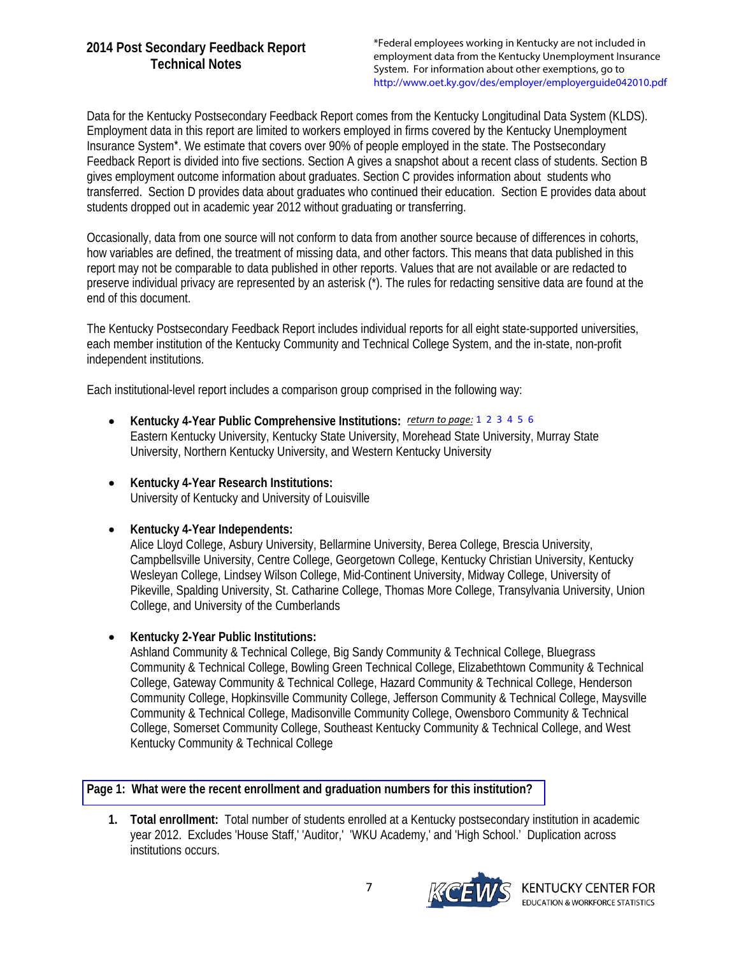\*Federal employees working in Kentucky are not included in employment data from the Kentucky Unemployment Insurance System. For information about other exemptions, go to <http://www.oet.ky.gov/des/employer/employerguide042010.pdf>

<span id="page-6-0"></span>Data for the Kentucky Postsecondary Feedback Report comes from the Kentucky Longitudinal Data System (KLDS). Employment data in this report are limited to workers employed in firms covered by the Kentucky Unemployment Insurance System\*. We estimate that covers over 90% of people employed in the state. The Postsecondary Feedback Report is divided into five sections. Section A gives a snapshot about a recent class of students. Section B gives employment outcome information about graduates. Section C provides information about students who transferred. Section D provides data about graduates who continued their education. Section E provides data about students dropped out in academic year 2012 without graduating or transferring.

Occasionally, data from one source will not conform to data from another source because of differences in cohorts, how variables are defined, the treatment of missing data, and other factors. This means that data published in this report may not be comparable to data published in other reports. Values that are not available or are redacted to preserve individual privacy are represented by an asterisk (\*). The rules for redacting sensitive data are found at the end of this document.

The Kentucky Postsecondary Feedback Report includes individual reports for all eight state-supported universities, each member institution of the Kentucky Community and Technical College System, and the in-state, non-profit independent institutions.

Each institutional-level report includes a comparison group comprised in the following way:

- **Kentucky 4-Year Public Comprehensive Institutions:** *return to page:* [1](#page-0-0) [2](#page-1-0) [3](#page-2-0) [4](#page-3-0) [5](#page-4-0) [6](#page-5-0) Eastern Kentucky University, Kentucky State University, Morehead State University, Murray State University, Northern Kentucky University, and Western Kentucky University
- **Kentucky 4-Year Research Institutions:** University of Kentucky and University of Louisville
- **Kentucky 4-Year Independents:**

Alice Lloyd College, Asbury University, Bellarmine University, Berea College, Brescia University, Campbellsville University, Centre College, Georgetown College, Kentucky Christian University, Kentucky Wesleyan College, Lindsey Wilson College, Mid-Continent University, Midway College, University of Pikeville, Spalding University, St. Catharine College, Thomas More College, Transylvania University, Union College, and University of the Cumberlands

**Kentucky 2-Year Public Institutions:**

Ashland Community & Technical College, Big Sandy Community & Technical College, Bluegrass Community & Technical College, Bowling Green Technical College, Elizabethtown Community & Technical College, Gateway Community & Technical College, Hazard Community & Technical College, Henderson Community College, Hopkinsville Community College, Jefferson Community & Technical College, Maysville Community & Technical College, Madisonville Community College, Owensboro Community & Technical College, Somerset Community College, Southeast Kentucky Community & Technical College, and West Kentucky Community & Technical College

### **[Page 1: What were the recent enrollment and graduation numbers for this institution?](#page-0-0)**

**1. Total enrollment:** Total number of students enrolled at a Kentucky postsecondary institution in academic year 2012. Excludes 'House Staff,' 'Auditor,' 'WKU Academy,' and 'High School.' Duplication across institutions occurs.

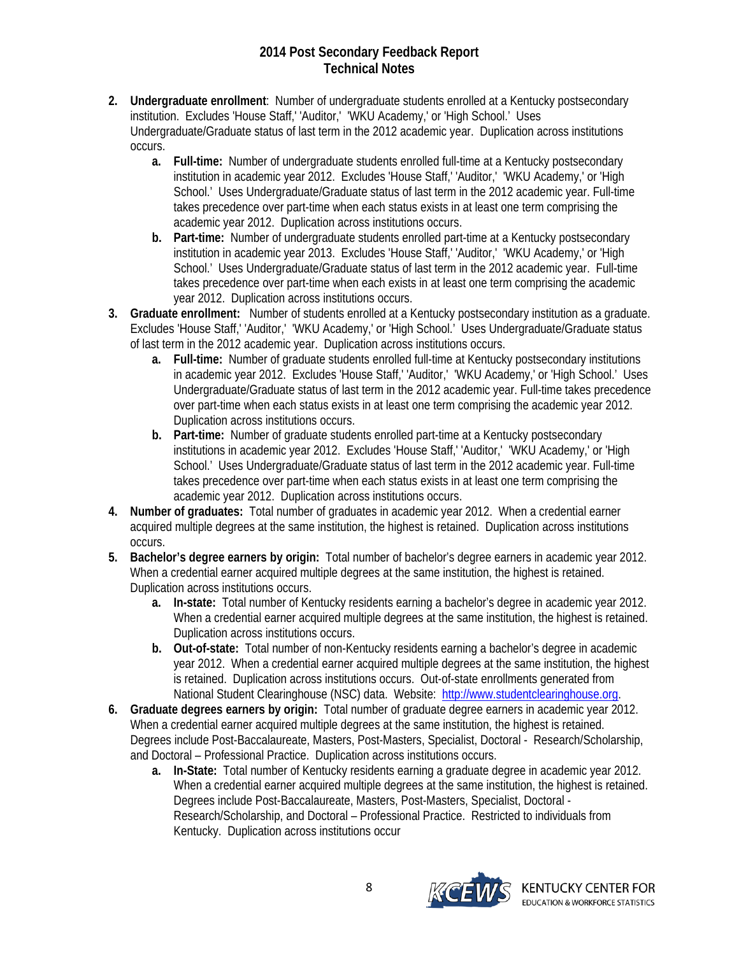- **2. Undergraduate enrollment**: Number of undergraduate students enrolled at a Kentucky postsecondary institution. Excludes 'House Staff,' 'Auditor,' 'WKU Academy,' or 'High School.' Uses Undergraduate/Graduate status of last term in the 2012 academic year. Duplication across institutions occurs.
	- **a. Full-time:** Number of undergraduate students enrolled full-time at a Kentucky postsecondary institution in academic year 2012. Excludes 'House Staff,' 'Auditor,' 'WKU Academy,' or 'High School.' Uses Undergraduate/Graduate status of last term in the 2012 academic year. Full-time takes precedence over part-time when each status exists in at least one term comprising the academic year 2012. Duplication across institutions occurs.
	- **b. Part-time:** Number of undergraduate students enrolled part-time at a Kentucky postsecondary institution in academic year 2013. Excludes 'House Staff,' 'Auditor,' 'WKU Academy,' or 'High School.' Uses Undergraduate/Graduate status of last term in the 2012 academic year. Full-time takes precedence over part-time when each exists in at least one term comprising the academic year 2012. Duplication across institutions occurs.
- **3. Graduate enrollment:** Number of students enrolled at a Kentucky postsecondary institution as a graduate. Excludes 'House Staff,' 'Auditor,' 'WKU Academy,' or 'High School.' Uses Undergraduate/Graduate status of last term in the 2012 academic year. Duplication across institutions occurs.
	- **a. Full-time:** Number of graduate students enrolled full-time at Kentucky postsecondary institutions in academic year 2012. Excludes 'House Staff,' 'Auditor,' 'WKU Academy,' or 'High School.' Uses Undergraduate/Graduate status of last term in the 2012 academic year. Full-time takes precedence over part-time when each status exists in at least one term comprising the academic year 2012. Duplication across institutions occurs.
	- **b. Part-time:** Number of graduate students enrolled part-time at a Kentucky postsecondary institutions in academic year 2012. Excludes 'House Staff,' 'Auditor,' 'WKU Academy,' or 'High School.' Uses Undergraduate/Graduate status of last term in the 2012 academic year. Full-time takes precedence over part-time when each status exists in at least one term comprising the academic year 2012. Duplication across institutions occurs.
- **4. Number of graduates:** Total number of graduates in academic year 2012. When a credential earner acquired multiple degrees at the same institution, the highest is retained. Duplication across institutions occurs.
- **5. Bachelor's degree earners by origin:** Total number of bachelor's degree earners in academic year 2012. When a credential earner acquired multiple degrees at the same institution, the highest is retained. Duplication across institutions occurs.
	- **a. In-state:** Total number of Kentucky residents earning a bachelor's degree in academic year 2012. When a credential earner acquired multiple degrees at the same institution, the highest is retained. Duplication across institutions occurs.
	- **b. Out-of-state:** Total number of non-Kentucky residents earning a bachelor's degree in academic year 2012. When a credential earner acquired multiple degrees at the same institution, the highest is retained. Duplication across institutions occurs. Out-of-state enrollments generated from National Student Clearinghouse (NSC) data. Website: http://www.studentclearinghouse.org.
- **6. Graduate degrees earners by origin:** Total number of graduate degree earners in academic year 2012. When a credential earner acquired multiple degrees at the same institution, the highest is retained. Degrees include Post-Baccalaureate, Masters, Post-Masters, Specialist, Doctoral - Research/Scholarship, and Doctoral – Professional Practice. Duplication across institutions occurs.
	- **a. In-State:** Total number of Kentucky residents earning a graduate degree in academic year 2012. When a credential earner acquired multiple degrees at the same institution, the highest is retained. Degrees include Post-Baccalaureate, Masters, Post-Masters, Specialist, Doctoral - Research/Scholarship, and Doctoral – Professional Practice. Restricted to individuals from Kentucky. Duplication across institutions occur

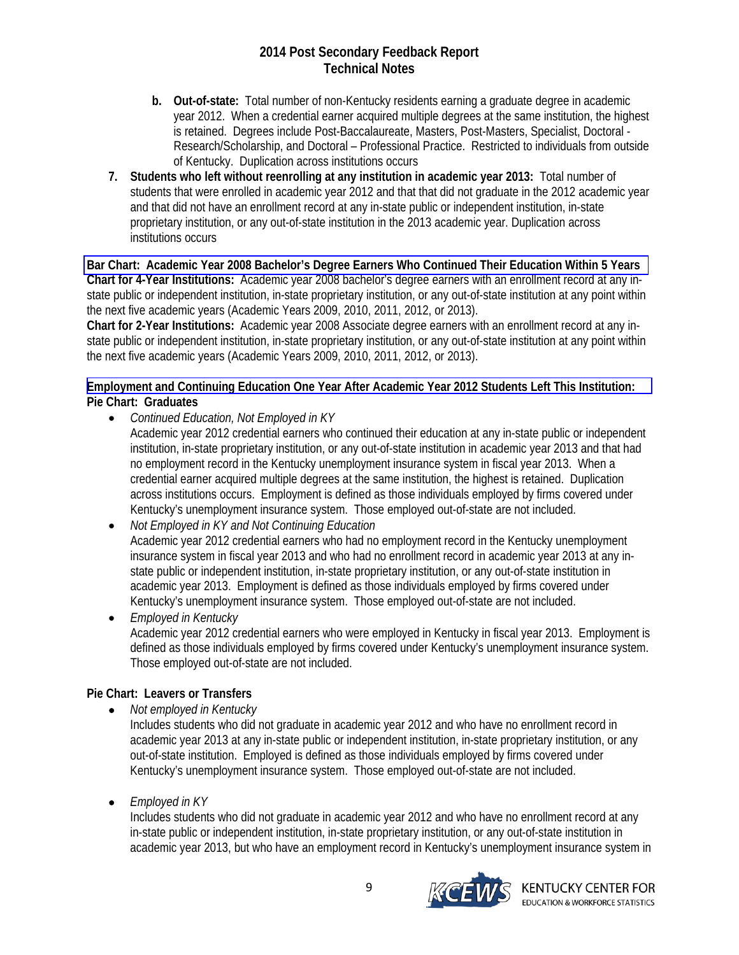- <span id="page-8-0"></span>**b. Out-of-state:** Total number of non-Kentucky residents earning a graduate degree in academic year 2012. When a credential earner acquired multiple degrees at the same institution, the highest is retained. Degrees include Post-Baccalaureate, Masters, Post-Masters, Specialist, Doctoral - Research/Scholarship, and Doctoral – Professional Practice. Restricted to individuals from outside of Kentucky. Duplication across institutions occurs
- **7. Students who left without reenrolling at any institution in academic year 2013:** Total number of students that were enrolled in academic year 2012 and that that did not graduate in the 2012 academic year and that did not have an enrollment record at any in-state public or independent institution, in-state proprietary institution, or any out-of-state institution in the 2013 academic year. Duplication across institutions occurs

**[Bar Chart: Academic Year 2008 Bachelor's Degree Earners Who Continued Their Education Within 5 Years](#page-0-0)  Chart for 4-Year Institutions:** Academic year 2008 bachelor's degree earners with an enrollment record at any instate public or independent institution, in-state proprietary institution, or any out-of-state institution at any point within the next five academic years (Academic Years 2009, 2010, 2011, 2012, or 2013).

**Chart for 2-Year Institutions:** Academic year 2008 Associate degree earners with an enrollment record at any instate public or independent institution, in-state proprietary institution, or any out-of-state institution at any point within the next five academic years (Academic Years 2009, 2010, 2011, 2012, or 2013).

## **[Employment and Continuing Education One Year After Academic Year 2012 Students Left This Institution:](#page-0-0)  Pie Chart: Graduates**

*Continued Education, Not Employed in KY*

Academic year 2012 credential earners who continued their education at any in-state public or independent institution, in-state proprietary institution, or any out-of-state institution in academic year 2013 and that had no employment record in the Kentucky unemployment insurance system in fiscal year 2013. When a credential earner acquired multiple degrees at the same institution, the highest is retained. Duplication across institutions occurs. Employment is defined as those individuals employed by firms covered under Kentucky's unemployment insurance system. Those employed out-of-state are not included.

 *Not Employed in KY and Not Continuing Education* Academic year 2012 credential earners who had no employment record in the Kentucky unemployment insurance system in fiscal year 2013 and who had no enrollment record in academic year 2013 at any instate public or independent institution, in-state proprietary institution, or any out-of-state institution in academic year 2013. Employment is defined as those individuals employed by firms covered under Kentucky's unemployment insurance system. Those employed out-of-state are not included.

 *Employed in Kentucky* Academic year 2012 credential earners who were employed in Kentucky in fiscal year 2013. Employment is defined as those individuals employed by firms covered under Kentucky's unemployment insurance system. Those employed out-of-state are not included.

## **Pie Chart: Leavers or Transfers**

*Not employed in Kentucky*

Includes students who did not graduate in academic year 2012 and who have no enrollment record in academic year 2013 at any in-state public or independent institution, in-state proprietary institution, or any out-of-state institution. Employed is defined as those individuals employed by firms covered under Kentucky's unemployment insurance system. Those employed out-of-state are not included.

*Employed in KY*

Includes students who did not graduate in academic year 2012 and who have no enrollment record at any in-state public or independent institution, in-state proprietary institution, or any out-of-state institution in academic year 2013, but who have an employment record in Kentucky's unemployment insurance system in

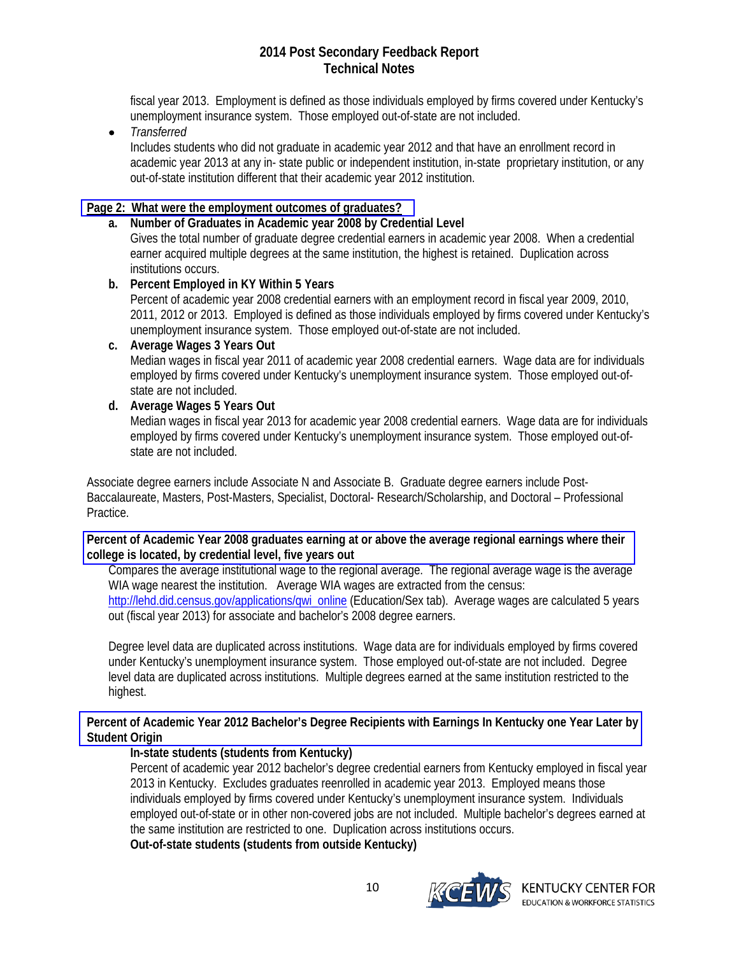<span id="page-9-0"></span>fiscal year 2013. Employment is defined as those individuals employed by firms covered under Kentucky's unemployment insurance system. Those employed out-of-state are not included.

*Transferred*

Includes students who did not graduate in academic year 2012 and that have an enrollment record in academic year 2013 at any in- state public or independent institution, in-state proprietary institution, or any out-of-state institution different that their academic year 2012 institution.

# **[Page 2: What were the employment outcomes of graduates?](#page-1-0)**

# **a. Number of Graduates in Academic year 2008 by Credential Level**

Gives the total number of graduate degree credential earners in academic year 2008. When a credential earner acquired multiple degrees at the same institution, the highest is retained. Duplication across institutions occurs.

# **b. Percent Employed in KY Within 5 Years**

Percent of academic year 2008 credential earners with an employment record in fiscal year 2009, 2010, 2011, 2012 or 2013. Employed is defined as those individuals employed by firms covered under Kentucky's unemployment insurance system. Those employed out-of-state are not included.

## **c. Average Wages 3 Years Out**

Median wages in fiscal year 2011 of academic year 2008 credential earners. Wage data are for individuals employed by firms covered under Kentucky's unemployment insurance system. Those employed out-ofstate are not included.

# **d. Average Wages 5 Years Out**

Median wages in fiscal year 2013 for academic year 2008 credential earners. Wage data are for individuals employed by firms covered under Kentucky's unemployment insurance system. Those employed out-ofstate are not included.

Associate degree earners include Associate N and Associate B. Graduate degree earners include Post-Baccalaureate, Masters, Post-Masters, Specialist, Doctoral- Research/Scholarship, and Doctoral – Professional Practice.

## **[Percent of Academic Year 2008 graduates earning at or above the average regional earnings where their](#page-1-0)  college is located, by credential level, five years out**

Compares the average institutional wage to the regional average. The regional average wage is the average WIA wage nearest the institution. Average WIA wages are extracted from the census: http://lehd.did.census.gov/applications/qwi\_online (Education/Sex tab). Average wages are calculated 5 years out (fiscal year 2013) for associate and bachelor's 2008 degree earners.

Degree level data are duplicated across institutions. Wage data are for individuals employed by firms covered under Kentucky's unemployment insurance system. Those employed out-of-state are not included. Degree level data are duplicated across institutions. Multiple degrees earned at the same institution restricted to the highest.

## **[Percent of Academic Year 2012 Bachelor's Degree Recipients with Earnings In Kentucky one Year Later by](#page-1-0)  Student Origin**

# **In-state students (students from Kentucky)**

Percent of academic year 2012 bachelor's degree credential earners from Kentucky employed in fiscal year 2013 in Kentucky. Excludes graduates reenrolled in academic year 2013. Employed means those individuals employed by firms covered under Kentucky's unemployment insurance system. Individuals employed out-of-state or in other non-covered jobs are not included. Multiple bachelor's degrees earned at the same institution are restricted to one. Duplication across institutions occurs.

**Out-of-state students (students from outside Kentucky)** 

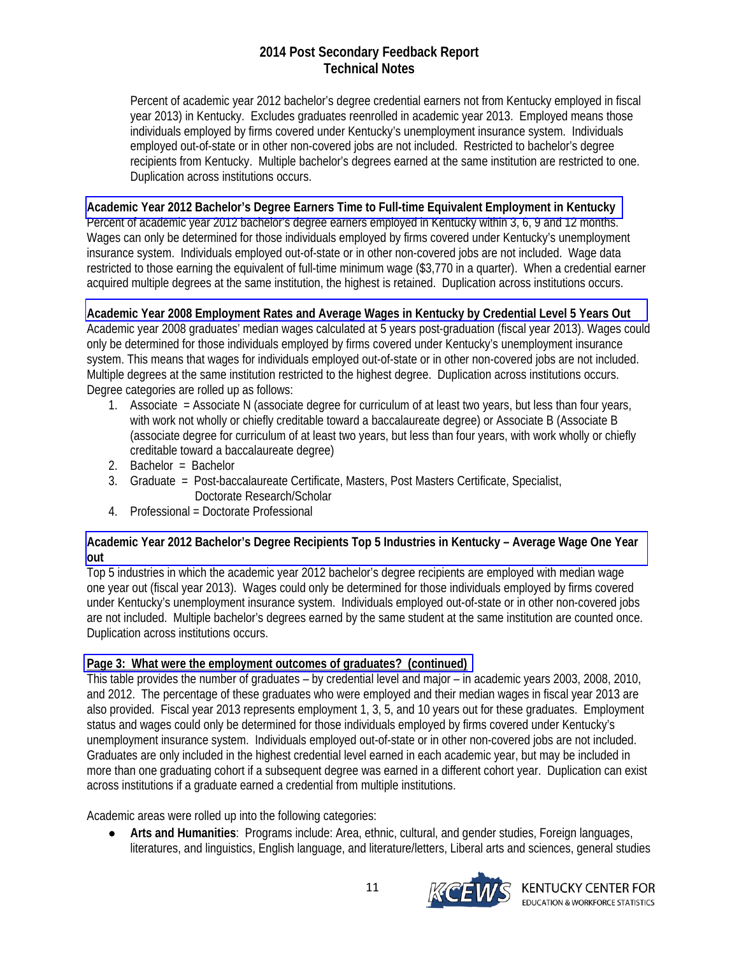<span id="page-10-0"></span>Percent of academic year 2012 bachelor's degree credential earners not from Kentucky employed in fiscal year 2013) in Kentucky. Excludes graduates reenrolled in academic year 2013. Employed means those individuals employed by firms covered under Kentucky's unemployment insurance system. Individuals employed out-of-state or in other non-covered jobs are not included. Restricted to bachelor's degree recipients from Kentucky. Multiple bachelor's degrees earned at the same institution are restricted to one. Duplication across institutions occurs.

## **[Academic Year 2012 Bachelor's Degree Earners Time to Full-time Equivalent Employment in Kentucky](#page-1-0)**

Percent of academic year 2012 bachelor's degree earners employed in Kentucky within 3, 6, 9 and 12 months. Wages can only be determined for those individuals employed by firms covered under Kentucky's unemployment insurance system. Individuals employed out-of-state or in other non-covered jobs are not included. Wage data restricted to those earning the equivalent of full-time minimum wage (\$3,770 in a quarter). When a credential earner acquired multiple degrees at the same institution, the highest is retained. Duplication across institutions occurs.

## **[Academic Year 2008 Employment Rates and Average Wages in Kentucky by Credential Level 5 Years Out](#page-1-0)**

Academic year 2008 graduates' median wages calculated at 5 years post-graduation (fiscal year 2013). Wages could only be determined for those individuals employed by firms covered under Kentucky's unemployment insurance system. This means that wages for individuals employed out-of-state or in other non-covered jobs are not included. Multiple degrees at the same institution restricted to the highest degree. Duplication across institutions occurs. Degree categories are rolled up as follows:

- 1. Associate = Associate N (associate degree for curriculum of at least two years, but less than four years, with work not wholly or chiefly creditable toward a baccalaureate degree) or Associate B (Associate B (associate degree for curriculum of at least two years, but less than four years, with work wholly or chiefly creditable toward a baccalaureate degree)
- 2. Bachelor = Bachelor
- 3. Graduate = Post-baccalaureate Certificate, Masters, Post Masters Certificate, Specialist, Doctorate Research/Scholar
- 4. Professional = Doctorate Professional

## **[Academic Year 2012 Bachelor's Degree Recipients Top 5 Industries in Kentucky – Average Wage One Year](#page-1-0)  out**

Top 5 industries in which the academic year 2012 bachelor's degree recipients are employed with median wage one year out (fiscal year 2013). Wages could only be determined for those individuals employed by firms covered under Kentucky's unemployment insurance system. Individuals employed out-of-state or in other non-covered jobs are not included. Multiple bachelor's degrees earned by the same student at the same institution are counted once. Duplication across institutions occurs.

## **[Page 3: What were the employment outcomes of graduates? \(continued\)](#page-2-0)**

This table provides the number of graduates – by credential level and major – in academic years 2003, 2008, 2010, and 2012. The percentage of these graduates who were employed and their median wages in fiscal year 2013 are also provided. Fiscal year 2013 represents employment 1, 3, 5, and 10 years out for these graduates. Employment status and wages could only be determined for those individuals employed by firms covered under Kentucky's unemployment insurance system. Individuals employed out-of-state or in other non-covered jobs are not included. Graduates are only included in the highest credential level earned in each academic year, but may be included in more than one graduating cohort if a subsequent degree was earned in a different cohort year. Duplication can exist across institutions if a graduate earned a credential from multiple institutions.

Academic areas were rolled up into the following categories:

 **Arts and Humanities**: Programs include: Area, ethnic, cultural, and gender studies, Foreign languages, literatures, and linguistics, English language, and literature/letters, Liberal arts and sciences, general studies

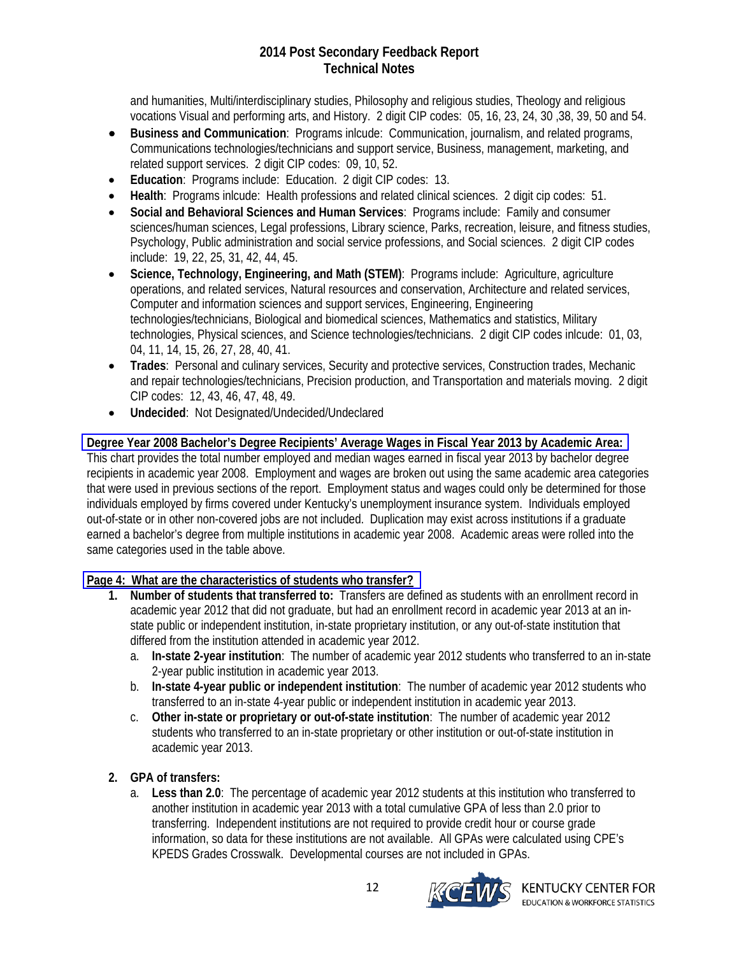<span id="page-11-0"></span>and humanities, Multi/interdisciplinary studies, Philosophy and religious studies, Theology and religious vocations Visual and performing arts, and History. 2 digit CIP codes: 05, 16, 23, 24, 30 ,38, 39, 50 and 54.

- **Business and Communication**: Programs inlcude: Communication, journalism, and related programs, Communications technologies/technicians and support service, Business, management, marketing, and related support services. 2 digit CIP codes: 09, 10, 52.
- **Education**: Programs include: Education. 2 digit CIP codes: 13.
- **Health**: Programs inlcude: Health professions and related clinical sciences. 2 digit cip codes: 51.
- **Social and Behavioral Sciences and Human Services**: Programs include: Family and consumer sciences/human sciences, Legal professions, Library science, Parks, recreation, leisure, and fitness studies, Psychology, Public administration and social service professions, and Social sciences. 2 digit CIP codes include: 19, 22, 25, 31, 42, 44, 45.
- **Science, Technology, Engineering, and Math (STEM)**: Programs include: Agriculture, agriculture operations, and related services, Natural resources and conservation, Architecture and related services, Computer and information sciences and support services, Engineering, Engineering technologies/technicians, Biological and biomedical sciences, Mathematics and statistics, Military technologies, Physical sciences, and Science technologies/technicians. 2 digit CIP codes inlcude: 01, 03, 04, 11, 14, 15, 26, 27, 28, 40, 41.
- **Trades**: Personal and culinary services, Security and protective services, Construction trades, Mechanic and repair technologies/technicians, Precision production, and Transportation and materials moving. 2 digit CIP codes: 12, 43, 46, 47, 48, 49.
- **Undecided**: Not Designated/Undecided/Undeclared

# **[Degree Year 2008 Bachelor's Degree Recipients' Average Wages in Fiscal Year 2013 by Academic Area:](#page-2-0)**

This chart provides the total number employed and median wages earned in fiscal year 2013 by bachelor degree recipients in academic year 2008. Employment and wages are broken out using the same academic area categories that were used in previous sections of the report. Employment status and wages could only be determined for those individuals employed by firms covered under Kentucky's unemployment insurance system. Individuals employed out-of-state or in other non-covered jobs are not included. Duplication may exist across institutions if a graduate earned a bachelor's degree from multiple institutions in academic year 2008. Academic areas were rolled into the same categories used in the table above.

## **[Page 4: What are the characteristics of students who transfer?](#page-3-0)**

- **1. Number of students that transferred to:** Transfers are defined as students with an enrollment record in academic year 2012 that did not graduate, but had an enrollment record in academic year 2013 at an instate public or independent institution, in-state proprietary institution, or any out-of-state institution that differed from the institution attended in academic year 2012.
	- a. **In-state 2-year institution**: The number of academic year 2012 students who transferred to an in-state 2-year public institution in academic year 2013.
	- b. **In-state 4-year public or independent institution**: The number of academic year 2012 students who transferred to an in-state 4-year public or independent institution in academic year 2013.
	- c. **Other in-state or proprietary or out-of-state institution**: The number of academic year 2012 students who transferred to an in-state proprietary or other institution or out-of-state institution in academic year 2013.

# **2. GPA of transfers:**

a. **Less than 2.0**: The percentage of academic year 2012 students at this institution who transferred to another institution in academic year 2013 with a total cumulative GPA of less than 2.0 prior to transferring. Independent institutions are not required to provide credit hour or course grade information, so data for these institutions are not available. All GPAs were calculated using CPE's KPEDS Grades Crosswalk. Developmental courses are not included in GPAs.

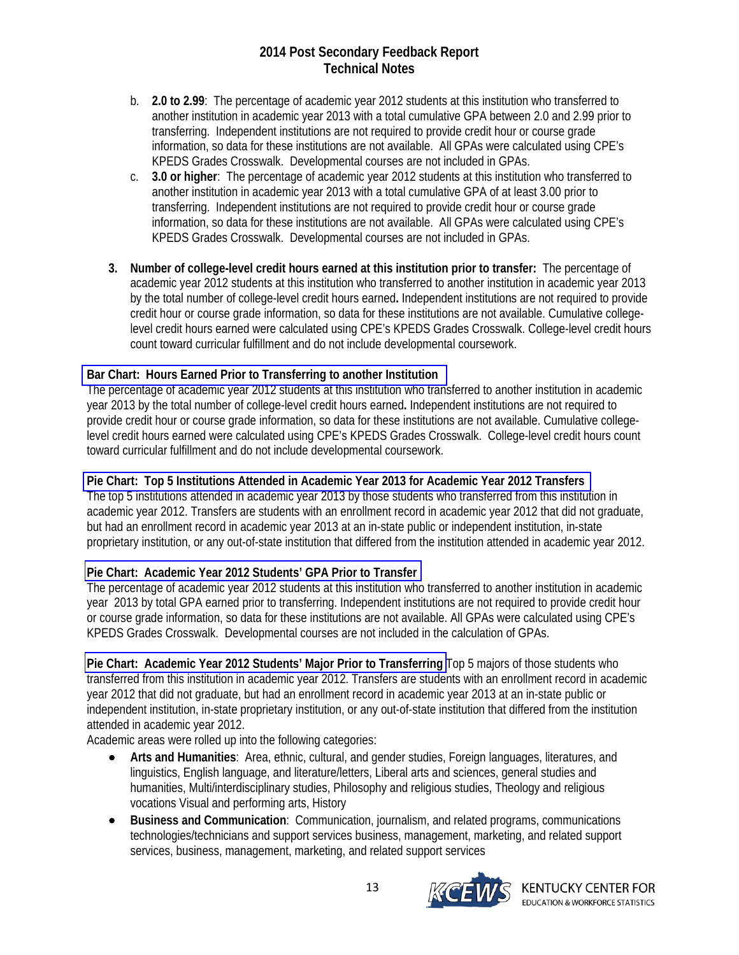- <span id="page-12-0"></span>b. **2.0 to 2.99**: The percentage of academic year 2012 students at this institution who transferred to another institution in academic year 2013 with a total cumulative GPA between 2.0 and 2.99 prior to transferring. Independent institutions are not required to provide credit hour or course grade information, so data for these institutions are not available. All GPAs were calculated using CPE's KPEDS Grades Crosswalk. Developmental courses are not included in GPAs.
- c. **3.0 or higher**: The percentage of academic year 2012 students at this institution who transferred to another institution in academic year 2013 with a total cumulative GPA of at least 3.00 prior to transferring. Independent institutions are not required to provide credit hour or course grade information, so data for these institutions are not available. All GPAs were calculated using CPE's KPEDS Grades Crosswalk. Developmental courses are not included in GPAs.
- **3. Number of college-level credit hours earned at this institution prior to transfer:** The percentage of academic year 2012 students at this institution who transferred to another institution in academic year 2013 by the total number of college-level credit hours earned**.** Independent institutions are not required to provide credit hour or course grade information, so data for these institutions are not available. Cumulative collegelevel credit hours earned were calculated using CPE's KPEDS Grades Crosswalk. College-level credit hours count toward curricular fulfillment and do not include developmental coursework.

## **[Bar Chart: Hours Earned Prior to Transferring to another Institution](#page-3-0)**

The percentage of academic year 2012 students at this institution who transferred to another institution in academic year 2013 by the total number of college-level credit hours earned**.** Independent institutions are not required to provide credit hour or course grade information, so data for these institutions are not available. Cumulative collegelevel credit hours earned were calculated using CPE's KPEDS Grades Crosswalk. College-level credit hours count toward curricular fulfillment and do not include developmental coursework.

## **[Pie Chart: Top 5 Institutions Attended in Academic Year 2013 for Academic Year 2012 Transfers](#page-3-0)**

The top 5 institutions attended in academic year 2013 by those students who transferred from this institution in academic year 2012. Transfers are students with an enrollment record in academic year 2012 that did not graduate, but had an enrollment record in academic year 2013 at an in-state public or independent institution, in-state proprietary institution, or any out-of-state institution that differed from the institution attended in academic year 2012.

## **[Pie Chart: Academic Year 2012 Students' GPA Prior to Transfer](#page-3-0)**

The percentage of academic year 2012 students at this institution who transferred to another institution in academic year 2013 by total GPA earned prior to transferring. Independent institutions are not required to provide credit hour or course grade information, so data for these institutions are not available. All GPAs were calculated using CPE's KPEDS Grades Crosswalk. Developmental courses are not included in the calculation of GPAs.

**[Pie Chart: Academic Year 2012 Students' Major Prior to Transferring](#page-3-0)** Top 5 majors of those students who transferred from this institution in academic year 2012. Transfers are students with an enrollment record in academic year 2012 that did not graduate, but had an enrollment record in academic year 2013 at an in-state public or independent institution, in-state proprietary institution, or any out-of-state institution that differed from the institution attended in academic year 2012.

Academic areas were rolled up into the following categories:

- **Arts and Humanities**: Area, ethnic, cultural, and gender studies, Foreign languages, literatures, and linguistics, English language, and literature/letters, Liberal arts and sciences, general studies and humanities, Multi/interdisciplinary studies, Philosophy and religious studies, Theology and religious vocations Visual and performing arts, History
- **Business and Communication**: Communication, journalism, and related programs, communications technologies/technicians and support services business, management, marketing, and related support services, business, management, marketing, and related support services

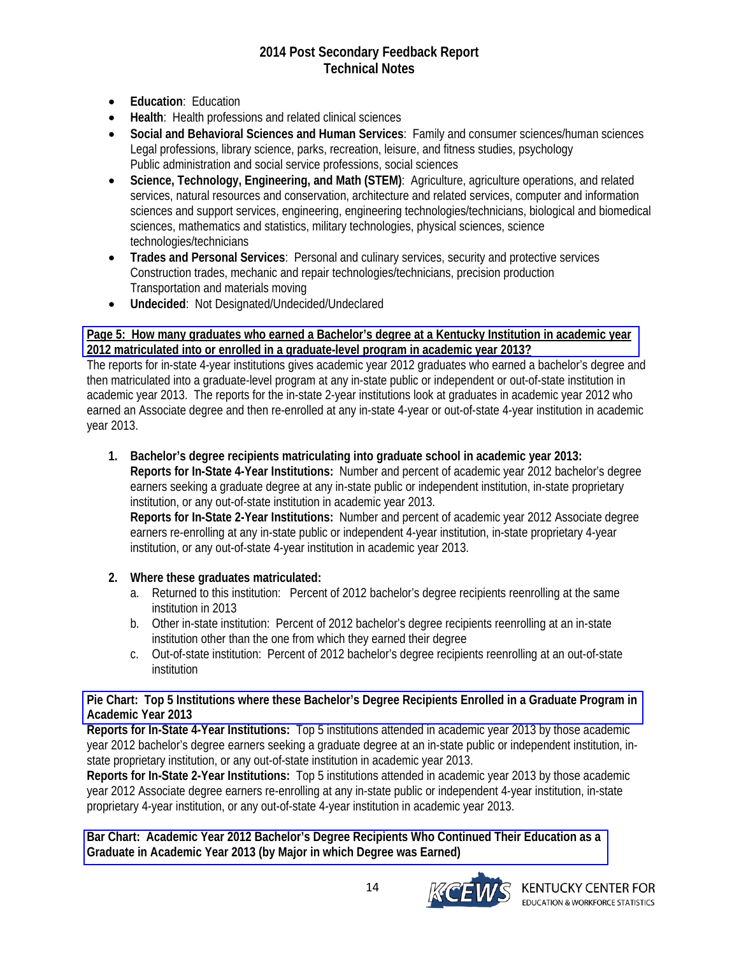- <span id="page-13-0"></span>**Education**: Education
- **Health**: Health professions and related clinical sciences
- **Social and Behavioral Sciences and Human Services**: Family and consumer sciences/human sciences Legal professions, library science, parks, recreation, leisure, and fitness studies, psychology Public administration and social service professions, social sciences
- **Science, Technology, Engineering, and Math (STEM)**: Agriculture, agriculture operations, and related services, natural resources and conservation, architecture and related services, computer and information sciences and support services, engineering, engineering technologies/technicians, biological and biomedical sciences, mathematics and statistics, military technologies, physical sciences, science technologies/technicians
- **Trades and Personal Services**: Personal and culinary services, security and protective services Construction trades, mechanic and repair technologies/technicians, precision production Transportation and materials moving
- **Undecided**: Not Designated/Undecided/Undeclared

## **[Page 5: How many graduates who earned a Bachelor's degree at a Kentucky Institution in academic year](#page-4-0)  2012 matriculated into or enrolled in a graduate-level program in academic year 2013?**

The reports for in-state 4-year institutions gives academic year 2012 graduates who earned a bachelor's degree and then matriculated into a graduate-level program at any in-state public or independent or out-of-state institution in academic year 2013. The reports for the in-state 2-year institutions look at graduates in academic year 2012 who earned an Associate degree and then re-enrolled at any in-state 4-year or out-of-state 4-year institution in academic year 2013.

**1. Bachelor's degree recipients matriculating into graduate school in academic year 2013: Reports for In-State 4-Year Institutions:** Number and percent of academic year 2012 bachelor's degree earners seeking a graduate degree at any in-state public or independent institution, in-state proprietary institution, or any out-of-state institution in academic year 2013.

**Reports for In-State 2-Year Institutions:** Number and percent of academic year 2012 Associate degree earners re-enrolling at any in-state public or independent 4-year institution, in-state proprietary 4-year institution, or any out-of-state 4-year institution in academic year 2013.

## **2. Where these graduates matriculated:**

- a. Returned to this institution: Percent of 2012 bachelor's degree recipients reenrolling at the same institution in 2013
- b. Other in-state institution: Percent of 2012 bachelor's degree recipients reenrolling at an in-state institution other than the one from which they earned their degree
- c. Out-of-state institution: Percent of 2012 bachelor's degree recipients reenrolling at an out-of-state institution

## **[Pie Chart: Top 5 Institutions where these Bachelor's Degree Recipients Enrolled in a Graduate Program in](#page-4-0)  Academic Year 2013**

**Reports for In-State 4-Year Institutions:** Top 5 institutions attended in academic year 2013 by those academic year 2012 bachelor's degree earners seeking a graduate degree at an in-state public or independent institution, instate proprietary institution, or any out-of-state institution in academic year 2013.

**Reports for In-State 2-Year Institutions:** Top 5 institutions attended in academic year 2013 by those academic year 2012 Associate degree earners re-enrolling at any in-state public or independent 4-year institution, in-state proprietary 4-year institution, or any out-of-state 4-year institution in academic year 2013.

**[Bar Chart: Academic Year 2012 Bachelor's Degree Recipients Who Continued Their Education as a](#page-4-0)  Graduate in Academic Year 2013 (by Major in which Degree was Earned)** 

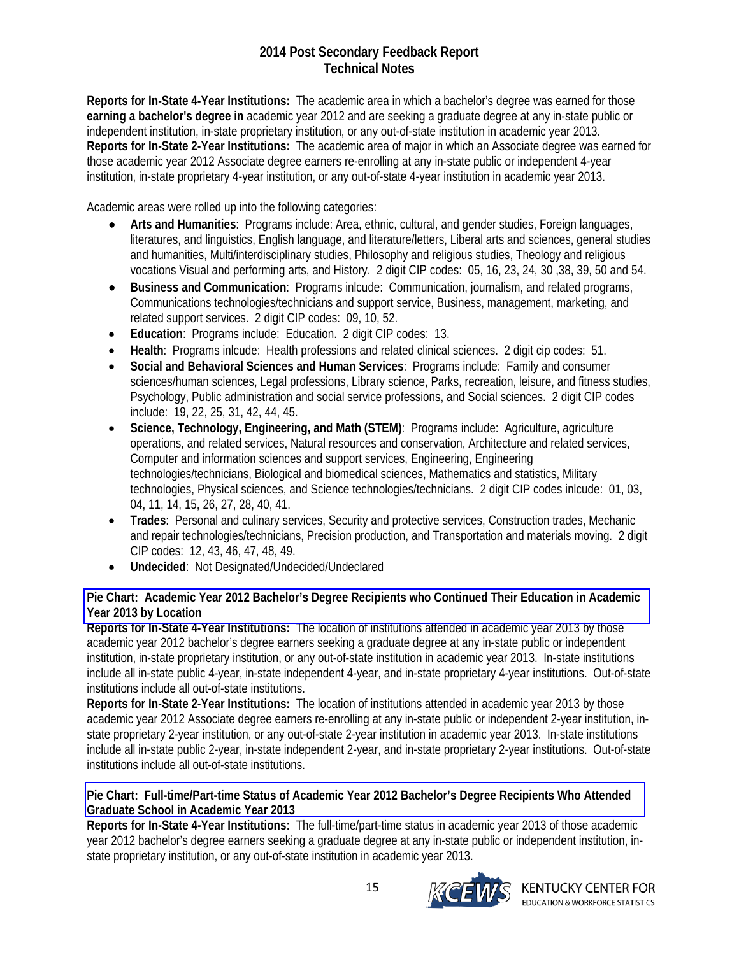<span id="page-14-0"></span>**Reports for In-State 4-Year Institutions:** The academic area in which a bachelor's degree was earned for those **earning a bachelor's degree in** academic year 2012 and are seeking a graduate degree at any in-state public or independent institution, in-state proprietary institution, or any out-of-state institution in academic year 2013. **Reports for In-State 2-Year Institutions:** The academic area of major in which an Associate degree was earned for those academic year 2012 Associate degree earners re-enrolling at any in-state public or independent 4-year institution, in-state proprietary 4-year institution, or any out-of-state 4-year institution in academic year 2013.

Academic areas were rolled up into the following categories:

- **Arts and Humanities**: Programs include: Area, ethnic, cultural, and gender studies, Foreign languages, literatures, and linguistics, English language, and literature/letters, Liberal arts and sciences, general studies and humanities, Multi/interdisciplinary studies, Philosophy and religious studies, Theology and religious vocations Visual and performing arts, and History. 2 digit CIP codes: 05, 16, 23, 24, 30 ,38, 39, 50 and 54.
- **Business and Communication**: Programs inlcude: Communication, journalism, and related programs, Communications technologies/technicians and support service, Business, management, marketing, and related support services. 2 digit CIP codes: 09, 10, 52.
- **Education**: Programs include: Education. 2 digit CIP codes: 13.
- **Health**: Programs inlcude: Health professions and related clinical sciences. 2 digit cip codes: 51.
- **Social and Behavioral Sciences and Human Services**: Programs include: Family and consumer sciences/human sciences, Legal professions, Library science, Parks, recreation, leisure, and fitness studies, Psychology, Public administration and social service professions, and Social sciences. 2 digit CIP codes include: 19, 22, 25, 31, 42, 44, 45.
- **Science, Technology, Engineering, and Math (STEM)**: Programs include: Agriculture, agriculture operations, and related services, Natural resources and conservation, Architecture and related services, Computer and information sciences and support services, Engineering, Engineering technologies/technicians, Biological and biomedical sciences, Mathematics and statistics, Military technologies, Physical sciences, and Science technologies/technicians. 2 digit CIP codes inlcude: 01, 03, 04, 11, 14, 15, 26, 27, 28, 40, 41.
- **Trades**: Personal and culinary services, Security and protective services, Construction trades, Mechanic and repair technologies/technicians, Precision production, and Transportation and materials moving. 2 digit CIP codes: 12, 43, 46, 47, 48, 49.
- **Undecided**: Not Designated/Undecided/Undeclared

## **[Pie Chart: Academic Year 2012 Bachelor's Degree Recipients who Continued Their Education in Academic](#page-4-0)  Year 2013 by Location**

**Reports for In-State 4-Year Institutions:** The location of institutions attended in academic year 2013 by those academic year 2012 bachelor's degree earners seeking a graduate degree at any in-state public or independent institution, in-state proprietary institution, or any out-of-state institution in academic year 2013. In-state institutions include all in-state public 4-year, in-state independent 4-year, and in-state proprietary 4-year institutions. Out-of-state institutions include all out-of-state institutions.

**Reports for In-State 2-Year Institutions:** The location of institutions attended in academic year 2013 by those academic year 2012 Associate degree earners re-enrolling at any in-state public or independent 2-year institution, instate proprietary 2-year institution, or any out-of-state 2-year institution in academic year 2013. In-state institutions include all in-state public 2-year, in-state independent 2-year, and in-state proprietary 2-year institutions. Out-of-state institutions include all out-of-state institutions.

## **[Pie Chart: Full-time/Part-time Status of Academic Year 2012 Bachelor's Degree Recipients Who Attended](#page-4-0)  Graduate School in Academic Year 2013**

**Reports for In-State 4-Year Institutions:** The full-time/part-time status in academic year 2013 of those academic year 2012 bachelor's degree earners seeking a graduate degree at any in-state public or independent institution, instate proprietary institution, or any out-of-state institution in academic year 2013.

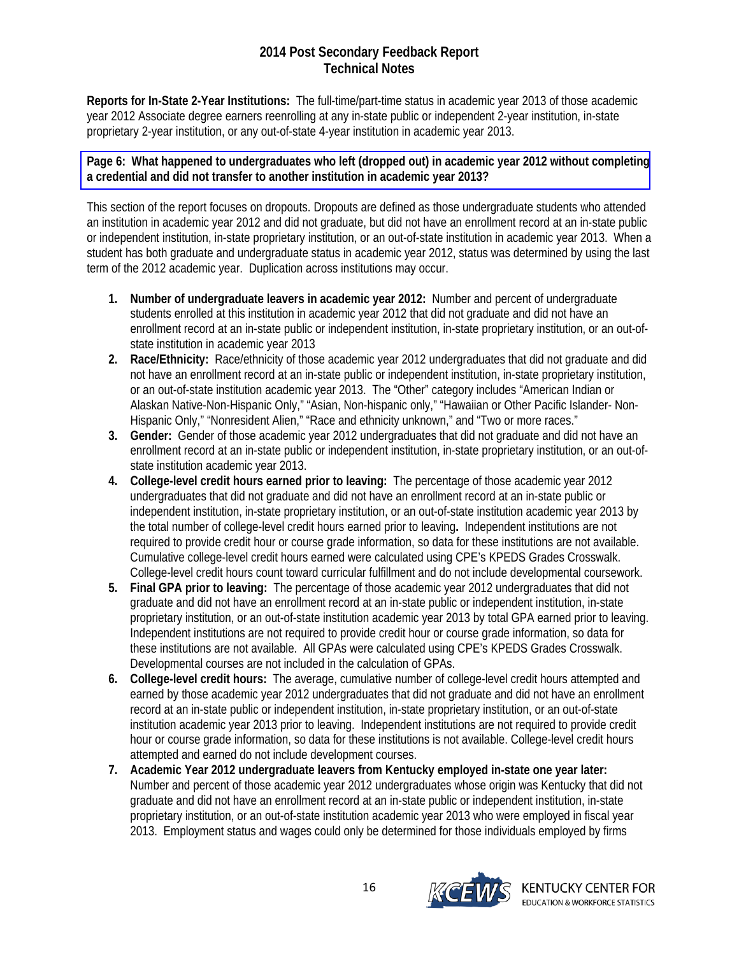<span id="page-15-0"></span>**Reports for In-State 2-Year Institutions:** The full-time/part-time status in academic year 2013 of those academic year 2012 Associate degree earners reenrolling at any in-state public or independent 2-year institution, in-state proprietary 2-year institution, or any out-of-state 4-year institution in academic year 2013.

## **[Page 6: What happened to undergraduates who left \(dropped out\) in academic year 2012 without completing](#page-5-0) a credential and did not transfer to another institution in academic year 2013?**

This section of the report focuses on dropouts. Dropouts are defined as those undergraduate students who attended an institution in academic year 2012 and did not graduate, but did not have an enrollment record at an in-state public or independent institution, in-state proprietary institution, or an out-of-state institution in academic year 2013. When a student has both graduate and undergraduate status in academic year 2012, status was determined by using the last term of the 2012 academic year. Duplication across institutions may occur.

- **1. Number of undergraduate leavers in academic year 2012:** Number and percent of undergraduate students enrolled at this institution in academic year 2012 that did not graduate and did not have an enrollment record at an in-state public or independent institution, in-state proprietary institution, or an out-ofstate institution in academic year 2013
- **2. Race/Ethnicity:** Race/ethnicity of those academic year 2012 undergraduates that did not graduate and did not have an enrollment record at an in-state public or independent institution, in-state proprietary institution, or an out-of-state institution academic year 2013. The "Other" category includes "American Indian or Alaskan Native-Non-Hispanic Only," "Asian, Non-hispanic only," "Hawaiian or Other Pacific Islander- Non-Hispanic Only," "Nonresident Alien," "Race and ethnicity unknown," and "Two or more races."
- **3. Gender:** Gender of those academic year 2012 undergraduates that did not graduate and did not have an enrollment record at an in-state public or independent institution, in-state proprietary institution, or an out-ofstate institution academic year 2013.
- **4. College-level credit hours earned prior to leaving:** The percentage of those academic year 2012 undergraduates that did not graduate and did not have an enrollment record at an in-state public or independent institution, in-state proprietary institution, or an out-of-state institution academic year 2013 by the total number of college-level credit hours earned prior to leaving**.** Independent institutions are not required to provide credit hour or course grade information, so data for these institutions are not available. Cumulative college-level credit hours earned were calculated using CPE's KPEDS Grades Crosswalk. College-level credit hours count toward curricular fulfillment and do not include developmental coursework.
- **5. Final GPA prior to leaving:** The percentage of those academic year 2012 undergraduates that did not graduate and did not have an enrollment record at an in-state public or independent institution, in-state proprietary institution, or an out-of-state institution academic year 2013 by total GPA earned prior to leaving. Independent institutions are not required to provide credit hour or course grade information, so data for these institutions are not available. All GPAs were calculated using CPE's KPEDS Grades Crosswalk. Developmental courses are not included in the calculation of GPAs.
- **6. College-level credit hours:** The average, cumulative number of college-level credit hours attempted and earned by those academic year 2012 undergraduates that did not graduate and did not have an enrollment record at an in-state public or independent institution, in-state proprietary institution, or an out-of-state institution academic year 2013 prior to leaving. Independent institutions are not required to provide credit hour or course grade information, so data for these institutions is not available. College-level credit hours attempted and earned do not include development courses.
- **7. Academic Year 2012 undergraduate leavers from Kentucky employed in-state one year later:** Number and percent of those academic year 2012 undergraduates whose origin was Kentucky that did not graduate and did not have an enrollment record at an in-state public or independent institution, in-state proprietary institution, or an out-of-state institution academic year 2013 who were employed in fiscal year 2013. Employment status and wages could only be determined for those individuals employed by firms